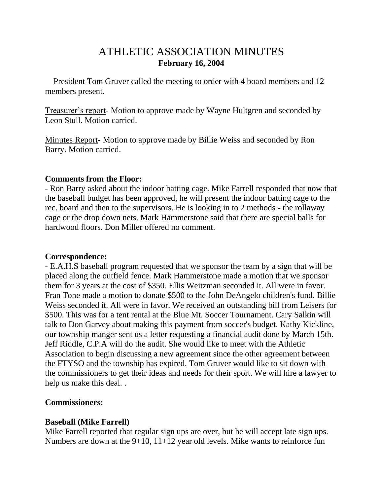# ATHLETIC ASSOCIATION MINUTES **February 16, 2004**

 President Tom Gruver called the meeting to order with 4 board members and 12 members present.

Treasurer's report- Motion to approve made by Wayne Hultgren and seconded by Leon Stull. Motion carried.

Minutes Report- Motion to approve made by Billie Weiss and seconded by Ron Barry. Motion carried.

#### **Comments from the Floor:**

- Ron Barry asked about the indoor batting cage. Mike Farrell responded that now that the baseball budget has been approved, he will present the indoor batting cage to the rec. board and then to the supervisors. He is looking in to 2 methods - the rollaway cage or the drop down nets. Mark Hammerstone said that there are special balls for hardwood floors. Don Miller offered no comment.

### **Correspondence:**

- E.A.H.S baseball program requested that we sponsor the team by a sign that will be placed along the outfield fence. Mark Hammerstone made a motion that we sponsor them for 3 years at the cost of \$350. Ellis Weitzman seconded it. All were in favor. Fran Tone made a motion to donate \$500 to the John DeAngelo children's fund. Billie Weiss seconded it. All were in favor. We received an outstanding bill from Leisers for \$500. This was for a tent rental at the Blue Mt. Soccer Tournament. Cary Salkin will talk to Don Garvey about making this payment from soccer's budget. Kathy Kickline, our township manger sent us a letter requesting a financial audit done by March 15th. Jeff Riddle, C.P.A will do the audit. She would like to meet with the Athletic Association to begin discussing a new agreement since the other agreement between the FTYSO and the township has expired. Tom Gruver would like to sit down with the commissioners to get their ideas and needs for their sport. We will hire a lawyer to help us make this deal. .

### **Commissioners:**

### **Baseball (Mike Farrell)**

Mike Farrell reported that regular sign ups are over, but he will accept late sign ups. Numbers are down at the 9+10, 11+12 year old levels. Mike wants to reinforce fun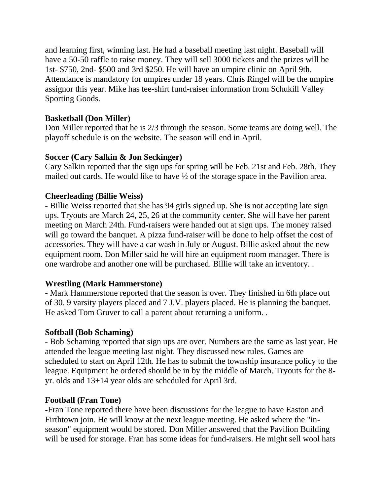and learning first, winning last. He had a baseball meeting last night. Baseball will have a 50-50 raffle to raise money. They will sell 3000 tickets and the prizes will be 1st- \$750, 2nd- \$500 and 3rd \$250. He will have an umpire clinic on April 9th. Attendance is mandatory for umpires under 18 years. Chris Ringel will be the umpire assignor this year. Mike has tee-shirt fund-raiser information from Schukill Valley Sporting Goods.

## **Basketball (Don Miller)**

Don Miller reported that he is 2/3 through the season. Some teams are doing well. The playoff schedule is on the website. The season will end in April.

## **Soccer (Cary Salkin & Jon Seckinger)**

Cary Salkin reported that the sign ups for spring will be Feb. 21st and Feb. 28th. They mailed out cards. He would like to have  $\frac{1}{2}$  of the storage space in the Pavilion area.

## **Cheerleading (Billie Weiss)**

- Billie Weiss reported that she has 94 girls signed up. She is not accepting late sign ups. Tryouts are March 24, 25, 26 at the community center. She will have her parent meeting on March 24th. Fund-raisers were handed out at sign ups. The money raised will go toward the banquet. A pizza fund-raiser will be done to help offset the cost of accessories. They will have a car wash in July or August. Billie asked about the new equipment room. Don Miller said he will hire an equipment room manager. There is one wardrobe and another one will be purchased. Billie will take an inventory. .

## **Wrestling (Mark Hammerstone)**

- Mark Hammerstone reported that the season is over. They finished in 6th place out of 30. 9 varsity players placed and 7 J.V. players placed. He is planning the banquet. He asked Tom Gruver to call a parent about returning a uniform. .

## **Softball (Bob Schaming)**

- Bob Schaming reported that sign ups are over. Numbers are the same as last year. He attended the league meeting last night. They discussed new rules. Games are scheduled to start on April 12th. He has to submit the township insurance policy to the league. Equipment he ordered should be in by the middle of March. Tryouts for the 8 yr. olds and 13+14 year olds are scheduled for April 3rd.

## **Football (Fran Tone)**

-Fran Tone reported there have been discussions for the league to have Easton and Firthtown join. He will know at the next league meeting. He asked where the "inseason" equipment would be stored. Don Miller answered that the Pavilion Building will be used for storage. Fran has some ideas for fund-raisers. He might sell wool hats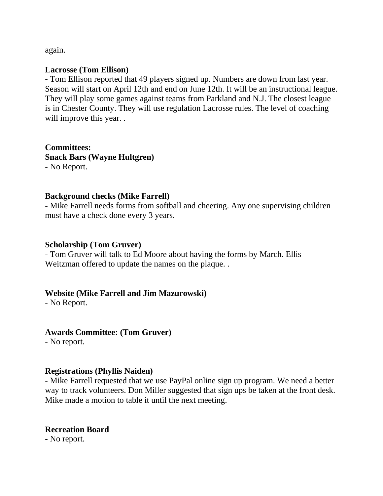again.

#### **Lacrosse (Tom Ellison)**

- Tom Ellison reported that 49 players signed up. Numbers are down from last year. Season will start on April 12th and end on June 12th. It will be an instructional league. They will play some games against teams from Parkland and N.J. The closest league is in Chester County. They will use regulation Lacrosse rules. The level of coaching will improve this year...

**Committees: Snack Bars (Wayne Hultgren)** - No Report.

#### **Background checks (Mike Farrell)**

- Mike Farrell needs forms from softball and cheering. Any one supervising children must have a check done every 3 years.

#### **Scholarship (Tom Gruver)**

- Tom Gruver will talk to Ed Moore about having the forms by March. Ellis Weitzman offered to update the names on the plaque. .

### **Website (Mike Farrell and Jim Mazurowski)**

- No Report.

### **Awards Committee: (Tom Gruver)**

- No report.

#### **Registrations (Phyllis Naiden)**

- Mike Farrell requested that we use PayPal online sign up program. We need a better way to track volunteers. Don Miller suggested that sign ups be taken at the front desk. Mike made a motion to table it until the next meeting.

### **Recreation Board**

- No report.